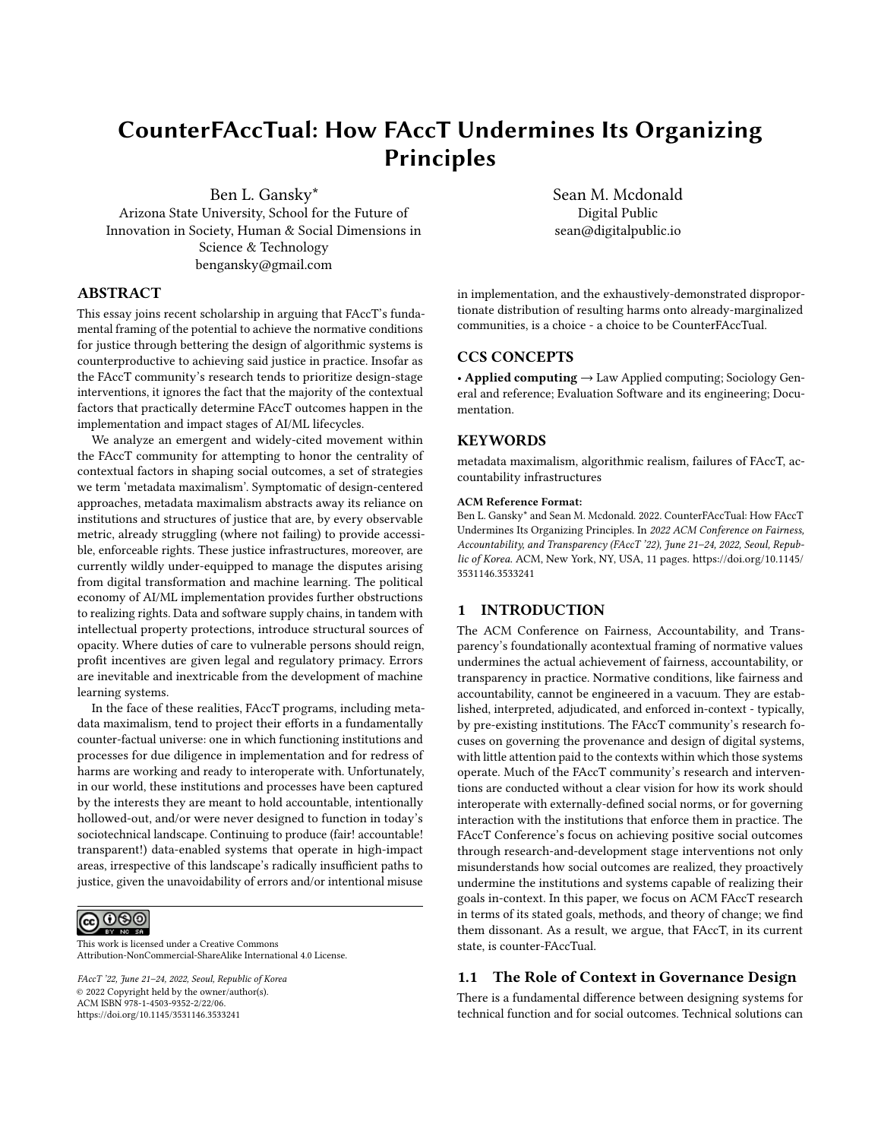# CounterFAccTual: How FAccT Undermines Its Organizing Principles

Ben L. Gansky\* Arizona State University, School for the Future of Innovation in Society, Human & Social Dimensions in Science & Technology bengansky@gmail.com

# ABSTRACT

This essay joins recent scholarship in arguing that FAccT's fundamental framing of the potential to achieve the normative conditions for justice through bettering the design of algorithmic systems is counterproductive to achieving said justice in practice. Insofar as the FAccT community's research tends to prioritize design-stage interventions, it ignores the fact that the majority of the contextual factors that practically determine FAccT outcomes happen in the implementation and impact stages of AI/ML lifecycles.

We analyze an emergent and widely-cited movement within the FAccT community for attempting to honor the centrality of contextual factors in shaping social outcomes, a set of strategies we term 'metadata maximalism'. Symptomatic of design-centered approaches, metadata maximalism abstracts away its reliance on institutions and structures of justice that are, by every observable metric, already struggling (where not failing) to provide accessible, enforceable rights. These justice infrastructures, moreover, are currently wildly under-equipped to manage the disputes arising from digital transformation and machine learning. The political economy of AI/ML implementation provides further obstructions to realizing rights. Data and software supply chains, in tandem with intellectual property protections, introduce structural sources of opacity. Where duties of care to vulnerable persons should reign, profit incentives are given legal and regulatory primacy. Errors are inevitable and inextricable from the development of machine learning systems.

In the face of these realities, FAccT programs, including metadata maximalism, tend to project their efforts in a fundamentally counter-factual universe: one in which functioning institutions and processes for due diligence in implementation and for redress of harms are working and ready to interoperate with. Unfortunately, in our world, these institutions and processes have been captured by the interests they are meant to hold accountable, intentionally hollowed-out, and/or were never designed to function in today's sociotechnical landscape. Continuing to produce (fair! accountable! transparent!) data-enabled systems that operate in high-impact areas, irrespective of this landscape's radically insufficient paths to justice, given the unavoidability of errors and/or intentional misuse

<u>@@@</u>

This work is licensed under a [Creative Commons](https://creativecommons.org/licenses/by-nc-sa/4.0/) [Attribution-NonCommercial-ShareAlike International 4.0 License.](https://creativecommons.org/licenses/by-nc-sa/4.0/)

FAccT '22, June 21–24, 2022, Seoul, Republic of Korea © 2022 Copyright held by the owner/author(s). ACM ISBN 978-1-4503-9352-2/22/06. <https://doi.org/10.1145/3531146.3533241>

Sean M. Mcdonald Digital Public sean@digitalpublic.io

in implementation, and the exhaustively-demonstrated disproportionate distribution of resulting harms onto already-marginalized communities, is a choice - a choice to be CounterFAccTual.

## CCS CONCEPTS

• Applied computing → Law Applied computing; Sociology General and reference; Evaluation Software and its engineering; Documentation.

# **KEYWORDS**

metadata maximalism, algorithmic realism, failures of FAccT, accountability infrastructures

#### ACM Reference Format:

Ben L. Gansky\* and Sean M. Mcdonald. 2022. CounterFAccTual: How FAccT Undermines Its Organizing Principles. In 2022 ACM Conference on Fairness, Accountability, and Transparency (FAccT '22), June 21–24, 2022, Seoul, Republic of Korea. ACM, New York, NY, USA, [11](#page-10-0) pages. [https://doi.org/10.1145/](https://doi.org/10.1145/3531146.3533241) [3531146.3533241](https://doi.org/10.1145/3531146.3533241)

### 1 INTRODUCTION

The ACM Conference on Fairness, Accountability, and Transparency's foundationally acontextual framing of normative values undermines the actual achievement of fairness, accountability, or transparency in practice. Normative conditions, like fairness and accountability, cannot be engineered in a vacuum. They are established, interpreted, adjudicated, and enforced in-context - typically, by pre-existing institutions. The FAccT community's research focuses on governing the provenance and design of digital systems, with little attention paid to the contexts within which those systems operate. Much of the FAccT community's research and interventions are conducted without a clear vision for how its work should interoperate with externally-defined social norms, or for governing interaction with the institutions that enforce them in practice. The FAccT Conference's focus on achieving positive social outcomes through research-and-development stage interventions not only misunderstands how social outcomes are realized, they proactively undermine the institutions and systems capable of realizing their goals in-context. In this paper, we focus on ACM FAccT research in terms of its stated goals, methods, and theory of change; we find them dissonant. As a result, we argue, that FAccT, in its current state, is counter-FAccTual.

#### 1.1 The Role of Context in Governance Design

There is a fundamental difference between designing systems for technical function and for social outcomes. Technical solutions can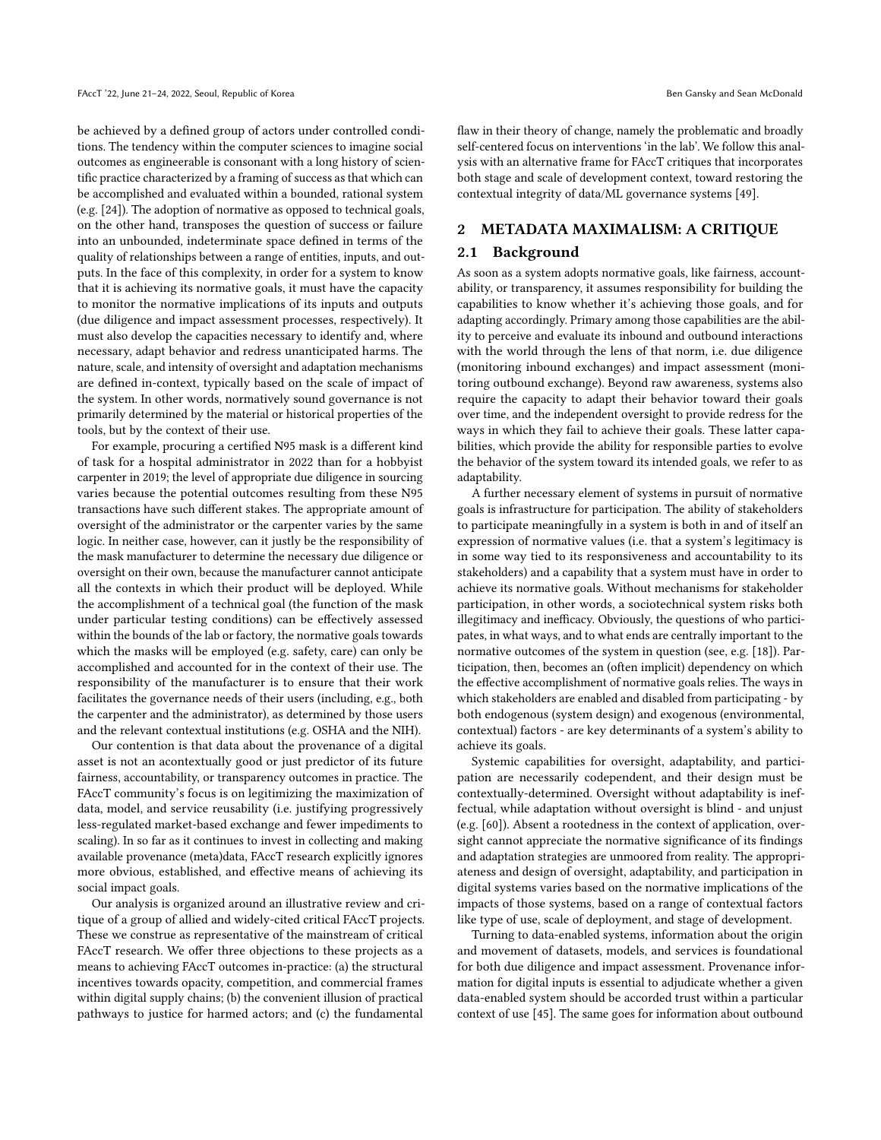be achieved by a defined group of actors under controlled conditions. The tendency within the computer sciences to imagine social outcomes as engineerable is consonant with a long history of scientific practice characterized by a framing of success as that which can be accomplished and evaluated within a bounded, rational system (e.g. [\[24\]](#page-9-0)). The adoption of normative as opposed to technical goals, on the other hand, transposes the question of success or failure into an unbounded, indeterminate space defined in terms of the quality of relationships between a range of entities, inputs, and outputs. In the face of this complexity, in order for a system to know that it is achieving its normative goals, it must have the capacity to monitor the normative implications of its inputs and outputs (due diligence and impact assessment processes, respectively). It must also develop the capacities necessary to identify and, where necessary, adapt behavior and redress unanticipated harms. The nature, scale, and intensity of oversight and adaptation mechanisms are defined in-context, typically based on the scale of impact of the system. In other words, normatively sound governance is not primarily determined by the material or historical properties of the tools, but by the context of their use.

For example, procuring a certified N95 mask is a different kind of task for a hospital administrator in 2022 than for a hobbyist carpenter in 2019; the level of appropriate due diligence in sourcing varies because the potential outcomes resulting from these N95 transactions have such different stakes. The appropriate amount of oversight of the administrator or the carpenter varies by the same logic. In neither case, however, can it justly be the responsibility of the mask manufacturer to determine the necessary due diligence or oversight on their own, because the manufacturer cannot anticipate all the contexts in which their product will be deployed. While the accomplishment of a technical goal (the function of the mask under particular testing conditions) can be effectively assessed within the bounds of the lab or factory, the normative goals towards which the masks will be employed (e.g. safety, care) can only be accomplished and accounted for in the context of their use. The responsibility of the manufacturer is to ensure that their work facilitates the governance needs of their users (including, e.g., both the carpenter and the administrator), as determined by those users and the relevant contextual institutions (e.g. OSHA and the NIH).

Our contention is that data about the provenance of a digital asset is not an acontextually good or just predictor of its future fairness, accountability, or transparency outcomes in practice. The FAccT community's focus is on legitimizing the maximization of data, model, and service reusability (i.e. justifying progressively less-regulated market-based exchange and fewer impediments to scaling). In so far as it continues to invest in collecting and making available provenance (meta)data, FAccT research explicitly ignores more obvious, established, and effective means of achieving its social impact goals.

Our analysis is organized around an illustrative review and critique of a group of allied and widely-cited critical FAccT projects. These we construe as representative of the mainstream of critical FAccT research. We offer three objections to these projects as a means to achieving FAccT outcomes in-practice: (a) the structural incentives towards opacity, competition, and commercial frames within digital supply chains; (b) the convenient illusion of practical pathways to justice for harmed actors; and (c) the fundamental

flaw in their theory of change, namely the problematic and broadly self-centered focus on interventions 'in the lab'. We follow this analysis with an alternative frame for FAccT critiques that incorporates both stage and scale of development context, toward restoring the contextual integrity of data/ML governance systems [\[49\]](#page-10-1).

#### 2 METADATA MAXIMALISM: A CRITIQUE

#### 2.1 Background

As soon as a system adopts normative goals, like fairness, accountability, or transparency, it assumes responsibility for building the capabilities to know whether it's achieving those goals, and for adapting accordingly. Primary among those capabilities are the ability to perceive and evaluate its inbound and outbound interactions with the world through the lens of that norm, i.e. due diligence (monitoring inbound exchanges) and impact assessment (monitoring outbound exchange). Beyond raw awareness, systems also require the capacity to adapt their behavior toward their goals over time, and the independent oversight to provide redress for the ways in which they fail to achieve their goals. These latter capabilities, which provide the ability for responsible parties to evolve the behavior of the system toward its intended goals, we refer to as adaptability.

A further necessary element of systems in pursuit of normative goals is infrastructure for participation. The ability of stakeholders to participate meaningfully in a system is both in and of itself an expression of normative values (i.e. that a system's legitimacy is in some way tied to its responsiveness and accountability to its stakeholders) and a capability that a system must have in order to achieve its normative goals. Without mechanisms for stakeholder participation, in other words, a sociotechnical system risks both illegitimacy and inefficacy. Obviously, the questions of who participates, in what ways, and to what ends are centrally important to the normative outcomes of the system in question (see, e.g. [\[18\]](#page-9-1)). Participation, then, becomes an (often implicit) dependency on which the effective accomplishment of normative goals relies. The ways in which stakeholders are enabled and disabled from participating - by both endogenous (system design) and exogenous (environmental, contextual) factors - are key determinants of a system's ability to achieve its goals.

Systemic capabilities for oversight, adaptability, and participation are necessarily codependent, and their design must be contextually-determined. Oversight without adaptability is ineffectual, while adaptation without oversight is blind - and unjust (e.g. [\[60\]](#page-10-2)). Absent a rootedness in the context of application, oversight cannot appreciate the normative significance of its findings and adaptation strategies are unmoored from reality. The appropriateness and design of oversight, adaptability, and participation in digital systems varies based on the normative implications of the impacts of those systems, based on a range of contextual factors like type of use, scale of deployment, and stage of development.

Turning to data-enabled systems, information about the origin and movement of datasets, models, and services is foundational for both due diligence and impact assessment. Provenance information for digital inputs is essential to adjudicate whether a given data-enabled system should be accorded trust within a particular context of use [\[45\]](#page-10-3). The same goes for information about outbound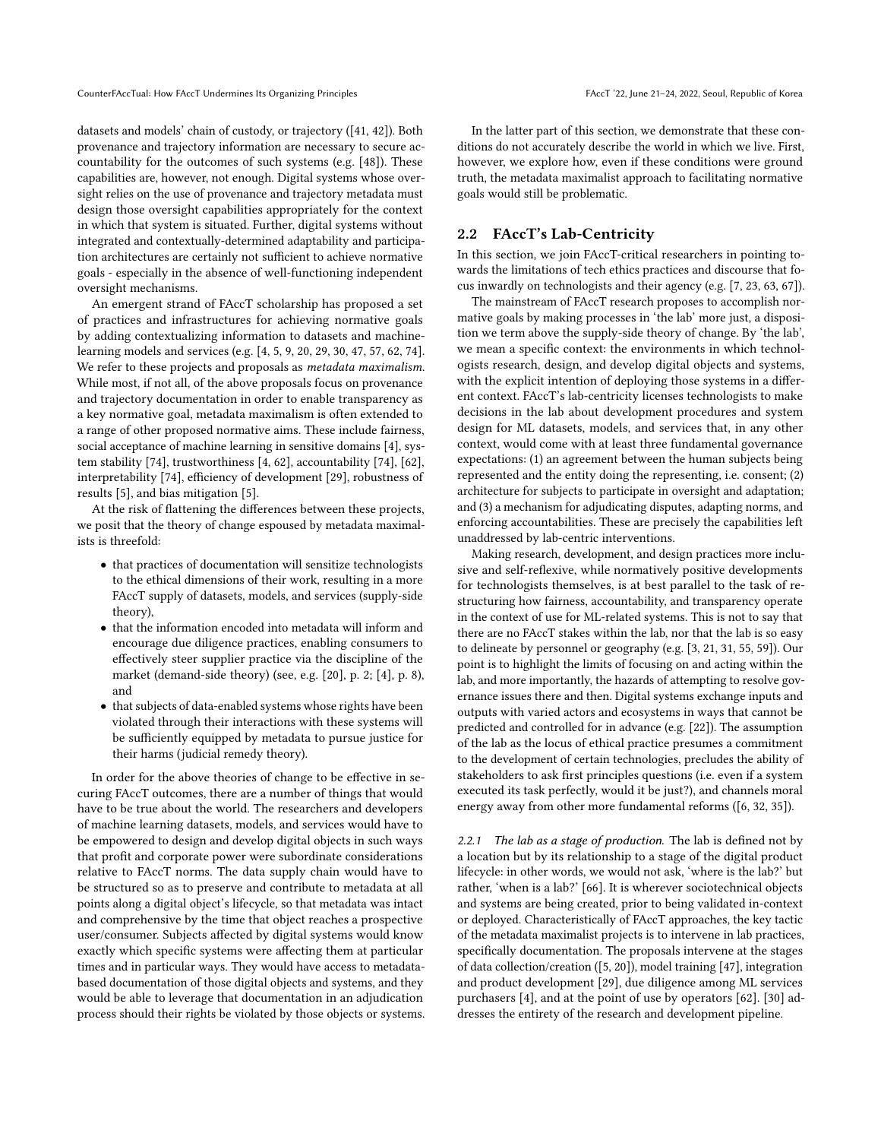datasets and models' chain of custody, or trajectory ([\[41,](#page-10-4) [42\]](#page-10-5)). Both provenance and trajectory information are necessary to secure accountability for the outcomes of such systems (e.g. [\[48\]](#page-10-6)). These capabilities are, however, not enough. Digital systems whose oversight relies on the use of provenance and trajectory metadata must design those oversight capabilities appropriately for the context in which that system is situated. Further, digital systems without integrated and contextually-determined adaptability and participation architectures are certainly not sufficient to achieve normative goals - especially in the absence of well-functioning independent oversight mechanisms.

An emergent strand of FAccT scholarship has proposed a set of practices and infrastructures for achieving normative goals by adding contextualizing information to datasets and machinelearning models and services (e.g. [\[4,](#page-9-2) [5,](#page-9-3) [9,](#page-9-4) [20,](#page-9-5) [29,](#page-9-6) [30,](#page-9-7) [47,](#page-10-7) [57,](#page-10-8) [62,](#page-10-9) [74\]](#page-10-10). We refer to these projects and proposals as metadata maximalism. While most, if not all, of the above proposals focus on provenance and trajectory documentation in order to enable transparency as a key normative goal, metadata maximalism is often extended to a range of other proposed normative aims. These include fairness, social acceptance of machine learning in sensitive domains [\[4\]](#page-9-2), system stability [\[74\]](#page-10-10), trustworthiness [\[4,](#page-9-2) [62\]](#page-10-9), accountability [\[74\]](#page-10-10), [\[62\]](#page-10-9), interpretability [\[74\]](#page-10-10), efficiency of development [\[29\]](#page-9-6), robustness of results [\[5\]](#page-9-3), and bias mitigation [\[5\]](#page-9-3).

At the risk of flattening the differences between these projects, we posit that the theory of change espoused by metadata maximalists is threefold:

- that practices of documentation will sensitize technologists to the ethical dimensions of their work, resulting in a more FAccT supply of datasets, models, and services (supply-side theory),
- that the information encoded into metadata will inform and encourage due diligence practices, enabling consumers to effectively steer supplier practice via the discipline of the market (demand-side theory) (see, e.g. [\[20\]](#page-9-5), p. 2; [\[4\]](#page-9-2), p. 8), and
- that subjects of data-enabled systems whose rights have been violated through their interactions with these systems will be sufficiently equipped by metadata to pursue justice for their harms (judicial remedy theory).

In order for the above theories of change to be effective in securing FAccT outcomes, there are a number of things that would have to be true about the world. The researchers and developers of machine learning datasets, models, and services would have to be empowered to design and develop digital objects in such ways that profit and corporate power were subordinate considerations relative to FAccT norms. The data supply chain would have to be structured so as to preserve and contribute to metadata at all points along a digital object's lifecycle, so that metadata was intact and comprehensive by the time that object reaches a prospective user/consumer. Subjects affected by digital systems would know exactly which specific systems were affecting them at particular times and in particular ways. They would have access to metadatabased documentation of those digital objects and systems, and they would be able to leverage that documentation in an adjudication process should their rights be violated by those objects or systems.

In the latter part of this section, we demonstrate that these conditions do not accurately describe the world in which we live. First, however, we explore how, even if these conditions were ground truth, the metadata maximalist approach to facilitating normative goals would still be problematic.

#### 2.2 FAccT's Lab-Centricity

In this section, we join FAccT-critical researchers in pointing towards the limitations of tech ethics practices and discourse that focus inwardly on technologists and their agency (e.g. [\[7,](#page-9-8) [23,](#page-9-9) [63,](#page-10-11) [67\]](#page-10-12)).

The mainstream of FAccT research proposes to accomplish normative goals by making processes in 'the lab' more just, a disposition we term above the supply-side theory of change. By 'the lab', we mean a specific context: the environments in which technologists research, design, and develop digital objects and systems, with the explicit intention of deploying those systems in a different context. FAccT's lab-centricity licenses technologists to make decisions in the lab about development procedures and system design for ML datasets, models, and services that, in any other context, would come with at least three fundamental governance expectations: (1) an agreement between the human subjects being represented and the entity doing the representing, i.e. consent; (2) architecture for subjects to participate in oversight and adaptation; and (3) a mechanism for adjudicating disputes, adapting norms, and enforcing accountabilities. These are precisely the capabilities left unaddressed by lab-centric interventions.

Making research, development, and design practices more inclusive and self-reflexive, while normatively positive developments for technologists themselves, is at best parallel to the task of restructuring how fairness, accountability, and transparency operate in the context of use for ML-related systems. This is not to say that there are no FAccT stakes within the lab, nor that the lab is so easy to delineate by personnel or geography (e.g. [\[3,](#page-9-10) [21,](#page-9-11) [31,](#page-9-12) [55,](#page-10-13) [59\]](#page-10-14)). Our point is to highlight the limits of focusing on and acting within the lab, and more importantly, the hazards of attempting to resolve governance issues there and then. Digital systems exchange inputs and outputs with varied actors and ecosystems in ways that cannot be predicted and controlled for in advance (e.g. [\[22\]](#page-9-13)). The assumption of the lab as the locus of ethical practice presumes a commitment to the development of certain technologies, precludes the ability of stakeholders to ask first principles questions (i.e. even if a system executed its task perfectly, would it be just?), and channels moral energy away from other more fundamental reforms ([\[6,](#page-9-14) [32,](#page-9-15) [35\]](#page-10-15)).

2.2.1 The lab as a stage of production. The lab is defined not by a location but by its relationship to a stage of the digital product lifecycle: in other words, we would not ask, 'where is the lab?' but rather, 'when is a lab?' [\[66\]](#page-10-16). It is wherever sociotechnical objects and systems are being created, prior to being validated in-context or deployed. Characteristically of FAccT approaches, the key tactic of the metadata maximalist projects is to intervene in lab practices, specifically documentation. The proposals intervene at the stages of data collection/creation ([\[5,](#page-9-3) [20\]](#page-9-5)), model training [\[47\]](#page-10-7), integration and product development [\[29\]](#page-9-6), due diligence among ML services purchasers [\[4\]](#page-9-2), and at the point of use by operators [\[62\]](#page-10-9). [\[30\]](#page-9-7) addresses the entirety of the research and development pipeline.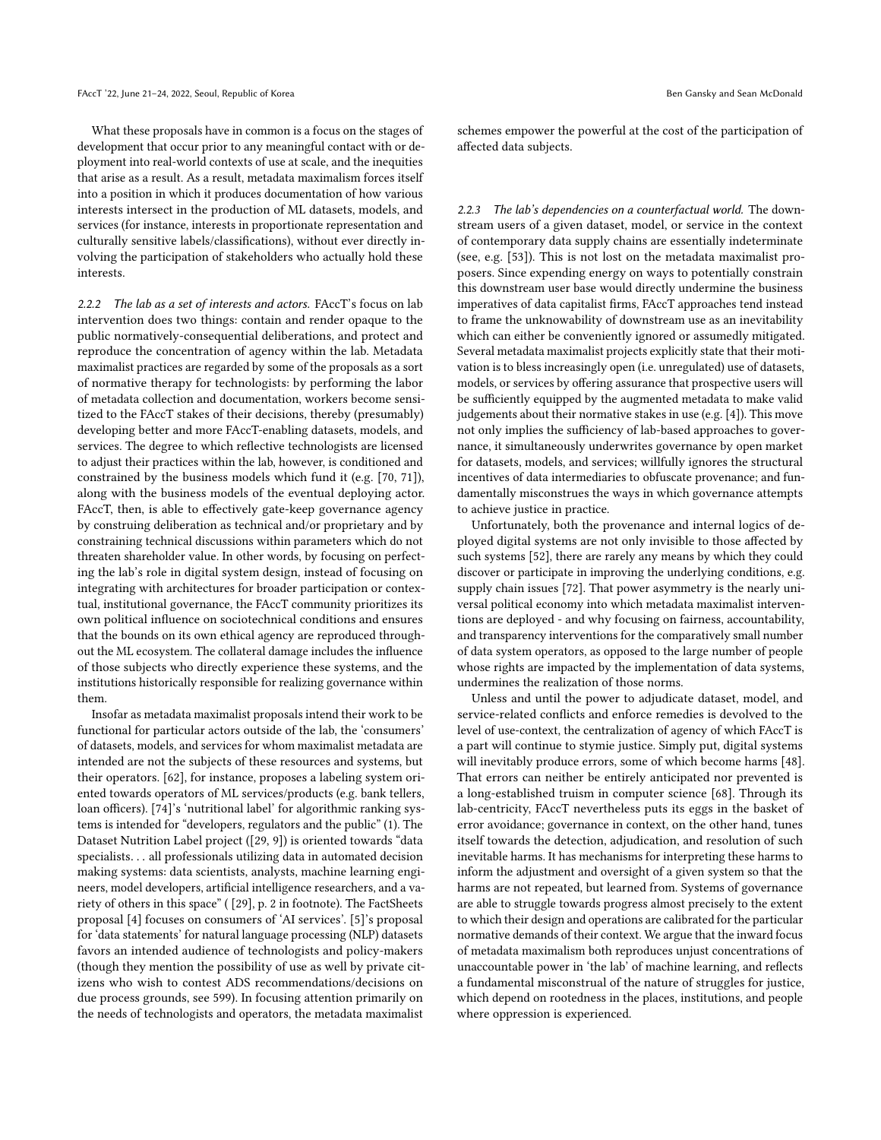What these proposals have in common is a focus on the stages of development that occur prior to any meaningful contact with or deployment into real-world contexts of use at scale, and the inequities that arise as a result. As a result, metadata maximalism forces itself into a position in which it produces documentation of how various interests intersect in the production of ML datasets, models, and services (for instance, interests in proportionate representation and culturally sensitive labels/classifications), without ever directly involving the participation of stakeholders who actually hold these interests.

2.2.2 The lab as a set of interests and actors. FAccT's focus on lab intervention does two things: contain and render opaque to the public normatively-consequential deliberations, and protect and reproduce the concentration of agency within the lab. Metadata maximalist practices are regarded by some of the proposals as a sort of normative therapy for technologists: by performing the labor of metadata collection and documentation, workers become sensitized to the FAccT stakes of their decisions, thereby (presumably) developing better and more FAccT-enabling datasets, models, and services. The degree to which reflective technologists are licensed to adjust their practices within the lab, however, is conditioned and constrained by the business models which fund it (e.g. [\[70,](#page-10-17) [71\]](#page-10-18)), along with the business models of the eventual deploying actor. FAccT, then, is able to effectively gate-keep governance agency by construing deliberation as technical and/or proprietary and by constraining technical discussions within parameters which do not threaten shareholder value. In other words, by focusing on perfecting the lab's role in digital system design, instead of focusing on integrating with architectures for broader participation or contextual, institutional governance, the FAccT community prioritizes its own political influence on sociotechnical conditions and ensures that the bounds on its own ethical agency are reproduced throughout the ML ecosystem. The collateral damage includes the influence of those subjects who directly experience these systems, and the institutions historically responsible for realizing governance within them.

Insofar as metadata maximalist proposals intend their work to be functional for particular actors outside of the lab, the 'consumers' of datasets, models, and services for whom maximalist metadata are intended are not the subjects of these resources and systems, but their operators. [\[62\]](#page-10-9), for instance, proposes a labeling system oriented towards operators of ML services/products (e.g. bank tellers, loan officers). [\[74\]](#page-10-10)'s 'nutritional label' for algorithmic ranking systems is intended for "developers, regulators and the public" (1). The Dataset Nutrition Label project ([29, 9]) is oriented towards "data specialists. . . all professionals utilizing data in automated decision making systems: data scientists, analysts, machine learning engineers, model developers, artificial intelligence researchers, and a variety of others in this space" ( [\[29\]](#page-9-6), p. 2 in footnote). The FactSheets proposal [\[4\]](#page-9-2) focuses on consumers of 'AI services'. [\[5\]](#page-9-3)'s proposal for 'data statements' for natural language processing (NLP) datasets favors an intended audience of technologists and policy-makers (though they mention the possibility of use as well by private citizens who wish to contest ADS recommendations/decisions on due process grounds, see 599). In focusing attention primarily on the needs of technologists and operators, the metadata maximalist

schemes empower the powerful at the cost of the participation of affected data subjects.

2.2.3 The lab's dependencies on a counterfactual world. The downstream users of a given dataset, model, or service in the context of contemporary data supply chains are essentially indeterminate (see, e.g. [\[53\]](#page-10-19)). This is not lost on the metadata maximalist proposers. Since expending energy on ways to potentially constrain this downstream user base would directly undermine the business imperatives of data capitalist firms, FAccT approaches tend instead to frame the unknowability of downstream use as an inevitability which can either be conveniently ignored or assumedly mitigated. Several metadata maximalist projects explicitly state that their motivation is to bless increasingly open (i.e. unregulated) use of datasets, models, or services by offering assurance that prospective users will be sufficiently equipped by the augmented metadata to make valid judgements about their normative stakes in use (e.g. [\[4\]](#page-9-2)). This move not only implies the sufficiency of lab-based approaches to governance, it simultaneously underwrites governance by open market for datasets, models, and services; willfully ignores the structural incentives of data intermediaries to obfuscate provenance; and fundamentally misconstrues the ways in which governance attempts to achieve justice in practice.

Unfortunately, both the provenance and internal logics of deployed digital systems are not only invisible to those affected by such systems [\[52\]](#page-10-20), there are rarely any means by which they could discover or participate in improving the underlying conditions, e.g. supply chain issues [\[72\]](#page-10-21). That power asymmetry is the nearly universal political economy into which metadata maximalist interventions are deployed - and why focusing on fairness, accountability, and transparency interventions for the comparatively small number of data system operators, as opposed to the large number of people whose rights are impacted by the implementation of data systems, undermines the realization of those norms.

Unless and until the power to adjudicate dataset, model, and service-related conflicts and enforce remedies is devolved to the level of use-context, the centralization of agency of which FAccT is a part will continue to stymie justice. Simply put, digital systems will inevitably produce errors, some of which become harms [\[48\]](#page-10-6). That errors can neither be entirely anticipated nor prevented is a long-established truism in computer science [\[68\]](#page-10-22). Through its lab-centricity, FAccT nevertheless puts its eggs in the basket of error avoidance; governance in context, on the other hand, tunes itself towards the detection, adjudication, and resolution of such inevitable harms. It has mechanisms for interpreting these harms to inform the adjustment and oversight of a given system so that the harms are not repeated, but learned from. Systems of governance are able to struggle towards progress almost precisely to the extent to which their design and operations are calibrated for the particular normative demands of their context. We argue that the inward focus of metadata maximalism both reproduces unjust concentrations of unaccountable power in 'the lab' of machine learning, and reflects a fundamental misconstrual of the nature of struggles for justice, which depend on rootedness in the places, institutions, and people where oppression is experienced.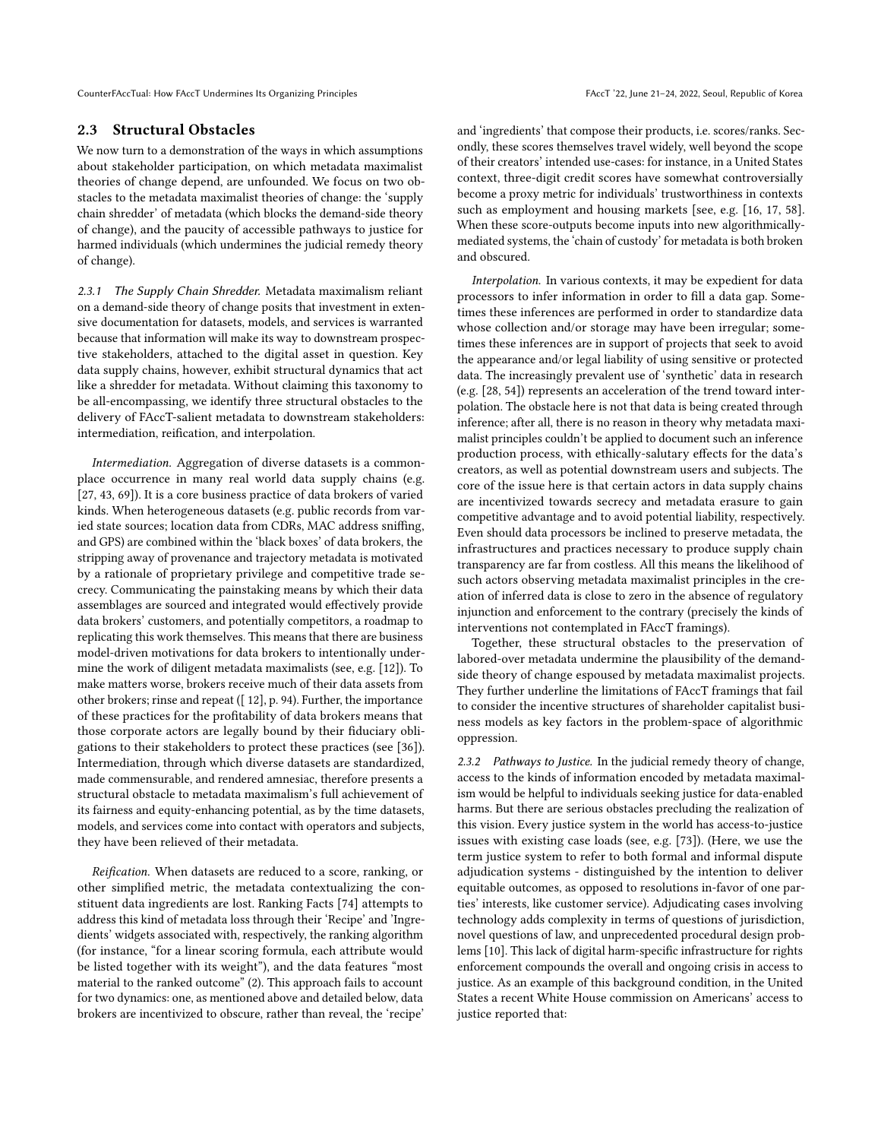CounterFAccTual: How FAccT Undermines Its Organizing Principles FACCT (22, June 21-24, 2022, Seoul, Republic of Korea

#### 2.3 Structural Obstacles

We now turn to a demonstration of the ways in which assumptions about stakeholder participation, on which metadata maximalist theories of change depend, are unfounded. We focus on two obstacles to the metadata maximalist theories of change: the 'supply chain shredder' of metadata (which blocks the demand-side theory of change), and the paucity of accessible pathways to justice for harmed individuals (which undermines the judicial remedy theory of change).

2.3.1 The Supply Chain Shredder. Metadata maximalism reliant on a demand-side theory of change posits that investment in extensive documentation for datasets, models, and services is warranted because that information will make its way to downstream prospective stakeholders, attached to the digital asset in question. Key data supply chains, however, exhibit structural dynamics that act like a shredder for metadata. Without claiming this taxonomy to be all-encompassing, we identify three structural obstacles to the delivery of FAccT-salient metadata to downstream stakeholders: intermediation, reification, and interpolation.

Intermediation. Aggregation of diverse datasets is a commonplace occurrence in many real world data supply chains (e.g. [\[27,](#page-9-16) [43,](#page-10-23) [69\]](#page-10-24)). It is a core business practice of data brokers of varied kinds. When heterogeneous datasets (e.g. public records from varied state sources; location data from CDRs, MAC address sniffing, and GPS) are combined within the 'black boxes' of data brokers, the stripping away of provenance and trajectory metadata is motivated by a rationale of proprietary privilege and competitive trade secrecy. Communicating the painstaking means by which their data assemblages are sourced and integrated would effectively provide data brokers' customers, and potentially competitors, a roadmap to replicating this work themselves. This means that there are business model-driven motivations for data brokers to intentionally undermine the work of diligent metadata maximalists (see, e.g. [\[12\]](#page-9-17)). To make matters worse, brokers receive much of their data assets from other brokers; rinse and repeat ([ 12], p. 94). Further, the importance of these practices for the profitability of data brokers means that those corporate actors are legally bound by their fiduciary obligations to their stakeholders to protect these practices (see [\[36\]](#page-10-25)). Intermediation, through which diverse datasets are standardized, made commensurable, and rendered amnesiac, therefore presents a structural obstacle to metadata maximalism's full achievement of its fairness and equity-enhancing potential, as by the time datasets, models, and services come into contact with operators and subjects, they have been relieved of their metadata.

Reification. When datasets are reduced to a score, ranking, or other simplified metric, the metadata contextualizing the constituent data ingredients are lost. Ranking Facts [\[74\]](#page-10-10) attempts to address this kind of metadata loss through their 'Recipe' and 'Ingredients' widgets associated with, respectively, the ranking algorithm (for instance, "for a linear scoring formula, each attribute would be listed together with its weight"), and the data features "most material to the ranked outcome" (2). This approach fails to account for two dynamics: one, as mentioned above and detailed below, data brokers are incentivized to obscure, rather than reveal, the 'recipe'

and 'ingredients' that compose their products, i.e. scores/ranks. Secondly, these scores themselves travel widely, well beyond the scope of their creators' intended use-cases: for instance, in a United States context, three-digit credit scores have somewhat controversially become a proxy metric for individuals' trustworthiness in contexts such as employment and housing markets [see, e.g. [\[16,](#page-9-18) [17,](#page-9-19) [58\]](#page-10-26). When these score-outputs become inputs into new algorithmicallymediated systems, the 'chain of custody' for metadata is both broken and obscured.

Interpolation. In various contexts, it may be expedient for data processors to infer information in order to fill a data gap. Sometimes these inferences are performed in order to standardize data whose collection and/or storage may have been irregular; sometimes these inferences are in support of projects that seek to avoid the appearance and/or legal liability of using sensitive or protected data. The increasingly prevalent use of 'synthetic' data in research (e.g. [\[28,](#page-9-20) [54\]](#page-10-27)) represents an acceleration of the trend toward interpolation. The obstacle here is not that data is being created through inference; after all, there is no reason in theory why metadata maximalist principles couldn't be applied to document such an inference production process, with ethically-salutary effects for the data's creators, as well as potential downstream users and subjects. The core of the issue here is that certain actors in data supply chains are incentivized towards secrecy and metadata erasure to gain competitive advantage and to avoid potential liability, respectively. Even should data processors be inclined to preserve metadata, the infrastructures and practices necessary to produce supply chain transparency are far from costless. All this means the likelihood of such actors observing metadata maximalist principles in the creation of inferred data is close to zero in the absence of regulatory injunction and enforcement to the contrary (precisely the kinds of interventions not contemplated in FAccT framings).

Together, these structural obstacles to the preservation of labored-over metadata undermine the plausibility of the demandside theory of change espoused by metadata maximalist projects. They further underline the limitations of FAccT framings that fail to consider the incentive structures of shareholder capitalist business models as key factors in the problem-space of algorithmic oppression.

2.3.2 Pathways to Justice. In the judicial remedy theory of change, access to the kinds of information encoded by metadata maximalism would be helpful to individuals seeking justice for data-enabled harms. But there are serious obstacles precluding the realization of this vision. Every justice system in the world has access-to-justice issues with existing case loads (see, e.g. [\[73\]](#page-10-28)). (Here, we use the term justice system to refer to both formal and informal dispute adjudication systems - distinguished by the intention to deliver equitable outcomes, as opposed to resolutions in-favor of one parties' interests, like customer service). Adjudicating cases involving technology adds complexity in terms of questions of jurisdiction, novel questions of law, and unprecedented procedural design problems [\[10\]](#page-9-21). This lack of digital harm-specific infrastructure for rights enforcement compounds the overall and ongoing crisis in access to justice. As an example of this background condition, in the United States a recent White House commission on Americans' access to justice reported that: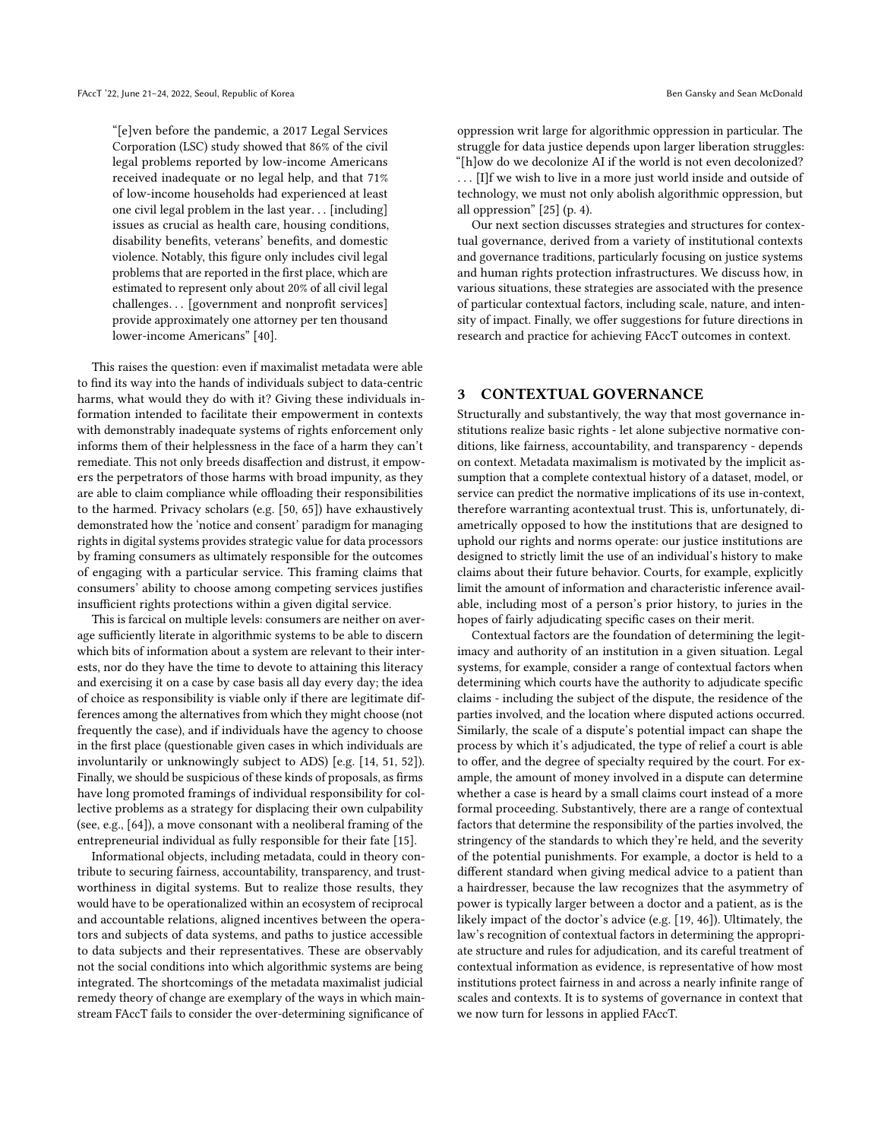"[e]ven before the pandemic, a 2017 Legal Services Corporation (LSC) study showed that 86% of the civil legal problems reported by low-income Americans received inadequate or no legal help, and that 71% of low-income households had experienced at least one civil legal problem in the last year. . . [including] issues as crucial as health care, housing conditions, disability benefits, veterans' benefits, and domestic violence. Notably, this figure only includes civil legal problems that are reported in the first place, which are estimated to represent only about 20% of all civil legal challenges. . . [government and nonprofit services] provide approximately one attorney per ten thousand lower-income Americans" [\[40\]](#page-10-29).

This raises the question: even if maximalist metadata were able to find its way into the hands of individuals subject to data-centric harms, what would they do with it? Giving these individuals information intended to facilitate their empowerment in contexts with demonstrably inadequate systems of rights enforcement only informs them of their helplessness in the face of a harm they can't remediate. This not only breeds disaffection and distrust, it empowers the perpetrators of those harms with broad impunity, as they are able to claim compliance while offloading their responsibilities to the harmed. Privacy scholars (e.g. [\[50,](#page-10-30) [65\]](#page-10-31)) have exhaustively demonstrated how the 'notice and consent' paradigm for managing rights in digital systems provides strategic value for data processors by framing consumers as ultimately responsible for the outcomes of engaging with a particular service. This framing claims that consumers' ability to choose among competing services justifies insufficient rights protections within a given digital service.

This is farcical on multiple levels: consumers are neither on average sufficiently literate in algorithmic systems to be able to discern which bits of information about a system are relevant to their interests, nor do they have the time to devote to attaining this literacy and exercising it on a case by case basis all day every day; the idea of choice as responsibility is viable only if there are legitimate differences among the alternatives from which they might choose (not frequently the case), and if individuals have the agency to choose in the first place (questionable given cases in which individuals are involuntarily or unknowingly subject to ADS) [e.g. [\[14,](#page-9-22) [51,](#page-10-32) [52\]](#page-10-20)). Finally, we should be suspicious of these kinds of proposals, as firms have long promoted framings of individual responsibility for collective problems as a strategy for displacing their own culpability (see, e.g., [\[64\]](#page-10-33)), a move consonant with a neoliberal framing of the entrepreneurial individual as fully responsible for their fate [\[15\]](#page-9-23).

Informational objects, including metadata, could in theory contribute to securing fairness, accountability, transparency, and trustworthiness in digital systems. But to realize those results, they would have to be operationalized within an ecosystem of reciprocal and accountable relations, aligned incentives between the operators and subjects of data systems, and paths to justice accessible to data subjects and their representatives. These are observably not the social conditions into which algorithmic systems are being integrated. The shortcomings of the metadata maximalist judicial remedy theory of change are exemplary of the ways in which mainstream FAccT fails to consider the over-determining significance of

oppression writ large for algorithmic oppression in particular. The struggle for data justice depends upon larger liberation struggles: "[h]ow do we decolonize AI if the world is not even decolonized? . . . [I]f we wish to live in a more just world inside and outside of technology, we must not only abolish algorithmic oppression, but all oppression" [\[25\]](#page-9-24) (p. 4).

Our next section discusses strategies and structures for contextual governance, derived from a variety of institutional contexts and governance traditions, particularly focusing on justice systems and human rights protection infrastructures. We discuss how, in various situations, these strategies are associated with the presence of particular contextual factors, including scale, nature, and intensity of impact. Finally, we offer suggestions for future directions in research and practice for achieving FAccT outcomes in context.

## 3 CONTEXTUAL GOVERNANCE

Structurally and substantively, the way that most governance institutions realize basic rights - let alone subjective normative conditions, like fairness, accountability, and transparency - depends on context. Metadata maximalism is motivated by the implicit assumption that a complete contextual history of a dataset, model, or service can predict the normative implications of its use in-context, therefore warranting acontextual trust. This is, unfortunately, diametrically opposed to how the institutions that are designed to uphold our rights and norms operate: our justice institutions are designed to strictly limit the use of an individual's history to make claims about their future behavior. Courts, for example, explicitly limit the amount of information and characteristic inference available, including most of a person's prior history, to juries in the hopes of fairly adjudicating specific cases on their merit.

Contextual factors are the foundation of determining the legitimacy and authority of an institution in a given situation. Legal systems, for example, consider a range of contextual factors when determining which courts have the authority to adjudicate specific claims - including the subject of the dispute, the residence of the parties involved, and the location where disputed actions occurred. Similarly, the scale of a dispute's potential impact can shape the process by which it's adjudicated, the type of relief a court is able to offer, and the degree of specialty required by the court. For example, the amount of money involved in a dispute can determine whether a case is heard by a small claims court instead of a more formal proceeding. Substantively, there are a range of contextual factors that determine the responsibility of the parties involved, the stringency of the standards to which they're held, and the severity of the potential punishments. For example, a doctor is held to a different standard when giving medical advice to a patient than a hairdresser, because the law recognizes that the asymmetry of power is typically larger between a doctor and a patient, as is the likely impact of the doctor's advice (e.g. [\[19,](#page-9-25) [46\]](#page-10-34)). Ultimately, the law's recognition of contextual factors in determining the appropriate structure and rules for adjudication, and its careful treatment of contextual information as evidence, is representative of how most institutions protect fairness in and across a nearly infinite range of scales and contexts. It is to systems of governance in context that we now turn for lessons in applied FAccT.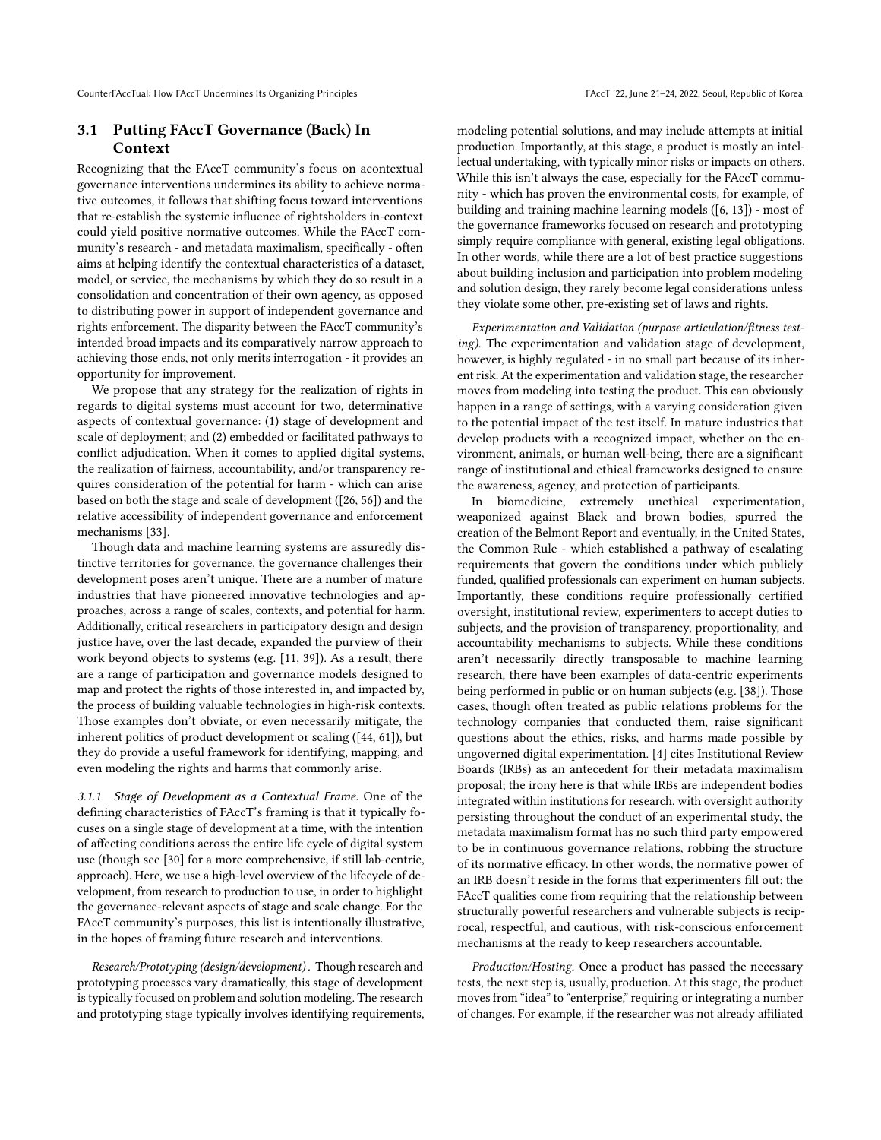#### 3.1 Putting FAccT Governance (Back) In Context

Recognizing that the FAccT community's focus on acontextual governance interventions undermines its ability to achieve normative outcomes, it follows that shifting focus toward interventions that re-establish the systemic influence of rightsholders in-context could yield positive normative outcomes. While the FAccT community's research - and metadata maximalism, specifically - often aims at helping identify the contextual characteristics of a dataset, model, or service, the mechanisms by which they do so result in a consolidation and concentration of their own agency, as opposed to distributing power in support of independent governance and rights enforcement. The disparity between the FAccT community's intended broad impacts and its comparatively narrow approach to achieving those ends, not only merits interrogation - it provides an opportunity for improvement.

We propose that any strategy for the realization of rights in regards to digital systems must account for two, determinative aspects of contextual governance: (1) stage of development and scale of deployment; and (2) embedded or facilitated pathways to conflict adjudication. When it comes to applied digital systems, the realization of fairness, accountability, and/or transparency requires consideration of the potential for harm - which can arise based on both the stage and scale of development ([\[26,](#page-9-26) [56\]](#page-10-35)) and the relative accessibility of independent governance and enforcement mechanisms [\[33\]](#page-9-27).

Though data and machine learning systems are assuredly distinctive territories for governance, the governance challenges their development poses aren't unique. There are a number of mature industries that have pioneered innovative technologies and approaches, across a range of scales, contexts, and potential for harm. Additionally, critical researchers in participatory design and design justice have, over the last decade, expanded the purview of their work beyond objects to systems (e.g. [\[11,](#page-9-28) [39\]](#page-10-36)). As a result, there are a range of participation and governance models designed to map and protect the rights of those interested in, and impacted by, the process of building valuable technologies in high-risk contexts. Those examples don't obviate, or even necessarily mitigate, the inherent politics of product development or scaling ([\[44,](#page-10-37) [61\]](#page-10-38)), but they do provide a useful framework for identifying, mapping, and even modeling the rights and harms that commonly arise.

3.1.1 Stage of Development as a Contextual Frame. One of the defining characteristics of FAccT's framing is that it typically focuses on a single stage of development at a time, with the intention of affecting conditions across the entire life cycle of digital system use (though see [\[30\]](#page-9-7) for a more comprehensive, if still lab-centric, approach). Here, we use a high-level overview of the lifecycle of development, from research to production to use, in order to highlight the governance-relevant aspects of stage and scale change. For the FAccT community's purposes, this list is intentionally illustrative, in the hopes of framing future research and interventions.

Research/Prototyping (design/development) . Though research and prototyping processes vary dramatically, this stage of development is typically focused on problem and solution modeling. The research and prototyping stage typically involves identifying requirements, modeling potential solutions, and may include attempts at initial production. Importantly, at this stage, a product is mostly an intellectual undertaking, with typically minor risks or impacts on others. While this isn't always the case, especially for the FAccT community - which has proven the environmental costs, for example, of building and training machine learning models ([\[6,](#page-9-14) [13\]](#page-9-29)) - most of the governance frameworks focused on research and prototyping simply require compliance with general, existing legal obligations. In other words, while there are a lot of best practice suggestions about building inclusion and participation into problem modeling and solution design, they rarely become legal considerations unless they violate some other, pre-existing set of laws and rights.

Experimentation and Validation (purpose articulation/fitness testing). The experimentation and validation stage of development, however, is highly regulated - in no small part because of its inherent risk. At the experimentation and validation stage, the researcher moves from modeling into testing the product. This can obviously happen in a range of settings, with a varying consideration given to the potential impact of the test itself. In mature industries that develop products with a recognized impact, whether on the environment, animals, or human well-being, there are a significant range of institutional and ethical frameworks designed to ensure the awareness, agency, and protection of participants.

In biomedicine, extremely unethical experimentation, weaponized against Black and brown bodies, spurred the creation of the Belmont Report and eventually, in the United States, the Common Rule - which established a pathway of escalating requirements that govern the conditions under which publicly funded, qualified professionals can experiment on human subjects. Importantly, these conditions require professionally certified oversight, institutional review, experimenters to accept duties to subjects, and the provision of transparency, proportionality, and accountability mechanisms to subjects. While these conditions aren't necessarily directly transposable to machine learning research, there have been examples of data-centric experiments being performed in public or on human subjects (e.g. [\[38\]](#page-10-39)). Those cases, though often treated as public relations problems for the technology companies that conducted them, raise significant questions about the ethics, risks, and harms made possible by ungoverned digital experimentation. [\[4\]](#page-9-2) cites Institutional Review Boards (IRBs) as an antecedent for their metadata maximalism proposal; the irony here is that while IRBs are independent bodies integrated within institutions for research, with oversight authority persisting throughout the conduct of an experimental study, the metadata maximalism format has no such third party empowered to be in continuous governance relations, robbing the structure of its normative efficacy. In other words, the normative power of an IRB doesn't reside in the forms that experimenters fill out; the FAccT qualities come from requiring that the relationship between structurally powerful researchers and vulnerable subjects is reciprocal, respectful, and cautious, with risk-conscious enforcement mechanisms at the ready to keep researchers accountable.

Production/Hosting. Once a product has passed the necessary tests, the next step is, usually, production. At this stage, the product moves from "idea" to "enterprise," requiring or integrating a number of changes. For example, if the researcher was not already affiliated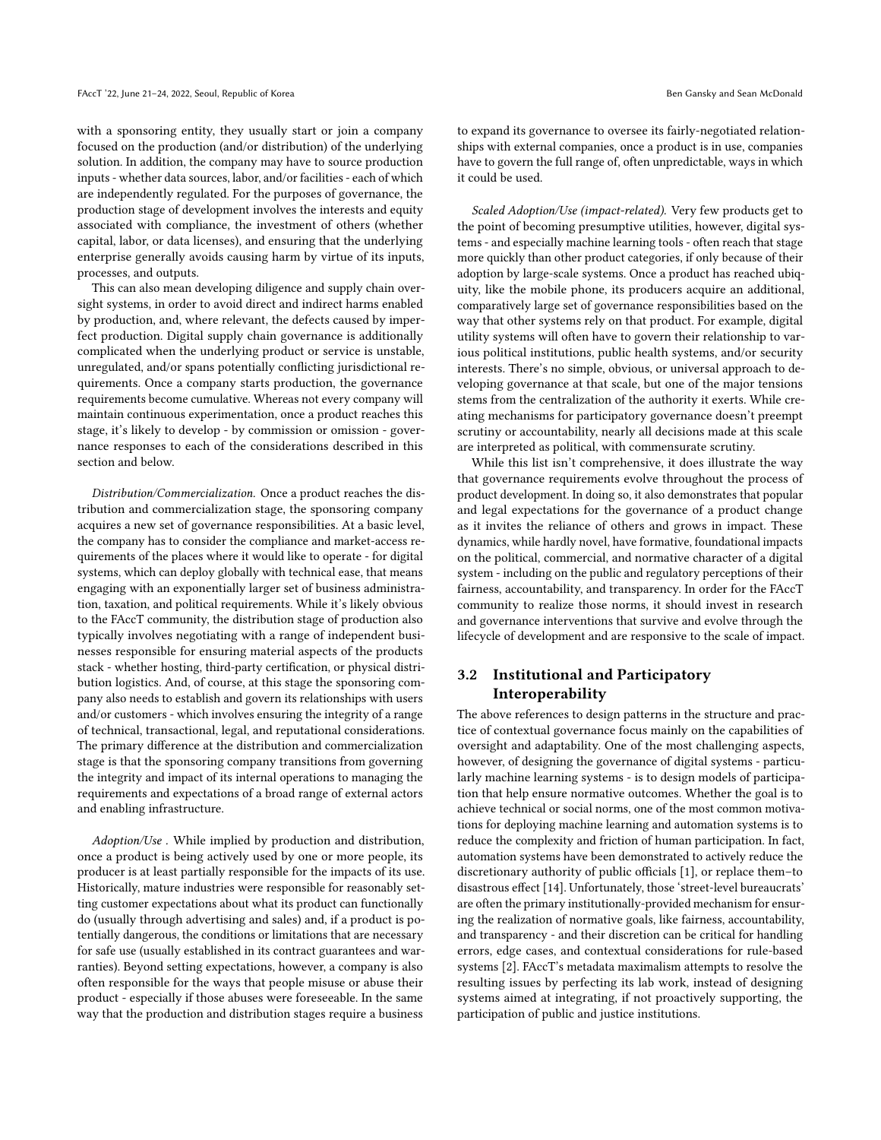with a sponsoring entity, they usually start or join a company focused on the production (and/or distribution) of the underlying solution. In addition, the company may have to source production inputs - whether data sources, labor, and/or facilities - each of which are independently regulated. For the purposes of governance, the production stage of development involves the interests and equity associated with compliance, the investment of others (whether capital, labor, or data licenses), and ensuring that the underlying enterprise generally avoids causing harm by virtue of its inputs, processes, and outputs.

This can also mean developing diligence and supply chain oversight systems, in order to avoid direct and indirect harms enabled by production, and, where relevant, the defects caused by imperfect production. Digital supply chain governance is additionally complicated when the underlying product or service is unstable, unregulated, and/or spans potentially conflicting jurisdictional requirements. Once a company starts production, the governance requirements become cumulative. Whereas not every company will maintain continuous experimentation, once a product reaches this stage, it's likely to develop - by commission or omission - governance responses to each of the considerations described in this section and below.

Distribution/Commercialization. Once a product reaches the distribution and commercialization stage, the sponsoring company acquires a new set of governance responsibilities. At a basic level, the company has to consider the compliance and market-access requirements of the places where it would like to operate - for digital systems, which can deploy globally with technical ease, that means engaging with an exponentially larger set of business administration, taxation, and political requirements. While it's likely obvious to the FAccT community, the distribution stage of production also typically involves negotiating with a range of independent businesses responsible for ensuring material aspects of the products stack - whether hosting, third-party certification, or physical distribution logistics. And, of course, at this stage the sponsoring company also needs to establish and govern its relationships with users and/or customers - which involves ensuring the integrity of a range of technical, transactional, legal, and reputational considerations. The primary difference at the distribution and commercialization stage is that the sponsoring company transitions from governing the integrity and impact of its internal operations to managing the requirements and expectations of a broad range of external actors and enabling infrastructure.

Adoption/Use . While implied by production and distribution, once a product is being actively used by one or more people, its producer is at least partially responsible for the impacts of its use. Historically, mature industries were responsible for reasonably setting customer expectations about what its product can functionally do (usually through advertising and sales) and, if a product is potentially dangerous, the conditions or limitations that are necessary for safe use (usually established in its contract guarantees and warranties). Beyond setting expectations, however, a company is also often responsible for the ways that people misuse or abuse their product - especially if those abuses were foreseeable. In the same way that the production and distribution stages require a business

to expand its governance to oversee its fairly-negotiated relationships with external companies, once a product is in use, companies have to govern the full range of, often unpredictable, ways in which it could be used.

Scaled Adoption/Use (impact-related). Very few products get to the point of becoming presumptive utilities, however, digital systems - and especially machine learning tools - often reach that stage more quickly than other product categories, if only because of their adoption by large-scale systems. Once a product has reached ubiquity, like the mobile phone, its producers acquire an additional, comparatively large set of governance responsibilities based on the way that other systems rely on that product. For example, digital utility systems will often have to govern their relationship to various political institutions, public health systems, and/or security interests. There's no simple, obvious, or universal approach to developing governance at that scale, but one of the major tensions stems from the centralization of the authority it exerts. While creating mechanisms for participatory governance doesn't preempt scrutiny or accountability, nearly all decisions made at this scale are interpreted as political, with commensurate scrutiny.

While this list isn't comprehensive, it does illustrate the way that governance requirements evolve throughout the process of product development. In doing so, it also demonstrates that popular and legal expectations for the governance of a product change as it invites the reliance of others and grows in impact. These dynamics, while hardly novel, have formative, foundational impacts on the political, commercial, and normative character of a digital system - including on the public and regulatory perceptions of their fairness, accountability, and transparency. In order for the FAccT community to realize those norms, it should invest in research and governance interventions that survive and evolve through the lifecycle of development and are responsive to the scale of impact.

# 3.2 Institutional and Participatory Interoperability

The above references to design patterns in the structure and practice of contextual governance focus mainly on the capabilities of oversight and adaptability. One of the most challenging aspects, however, of designing the governance of digital systems - particularly machine learning systems - is to design models of participation that help ensure normative outcomes. Whether the goal is to achieve technical or social norms, one of the most common motivations for deploying machine learning and automation systems is to reduce the complexity and friction of human participation. In fact, automation systems have been demonstrated to actively reduce the discretionary authority of public officials [\[1\]](#page-9-30), or replace them–to disastrous effect [\[14\]](#page-9-22). Unfortunately, those 'street-level bureaucrats' are often the primary institutionally-provided mechanism for ensuring the realization of normative goals, like fairness, accountability, and transparency - and their discretion can be critical for handling errors, edge cases, and contextual considerations for rule-based systems [\[2\]](#page-9-31). FAccT's metadata maximalism attempts to resolve the resulting issues by perfecting its lab work, instead of designing systems aimed at integrating, if not proactively supporting, the participation of public and justice institutions.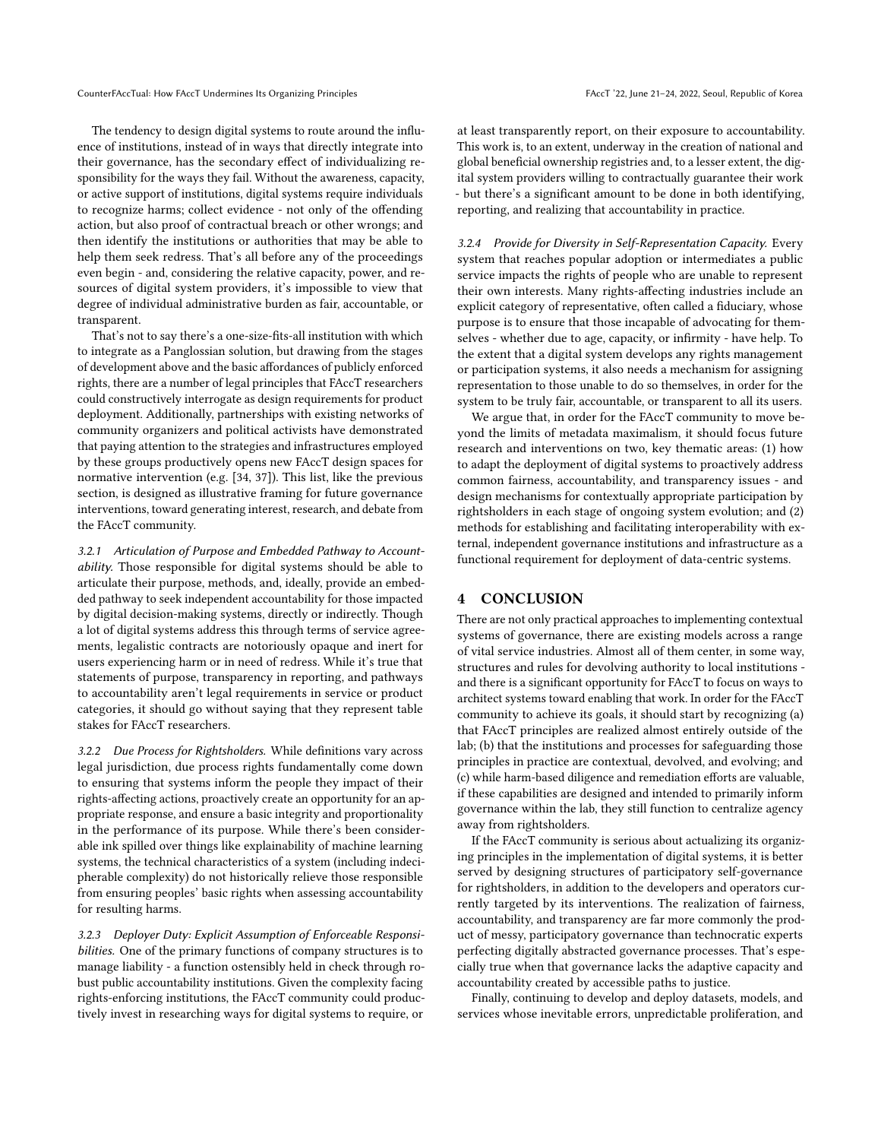The tendency to design digital systems to route around the influence of institutions, instead of in ways that directly integrate into their governance, has the secondary effect of individualizing responsibility for the ways they fail. Without the awareness, capacity, or active support of institutions, digital systems require individuals to recognize harms; collect evidence - not only of the offending action, but also proof of contractual breach or other wrongs; and then identify the institutions or authorities that may be able to help them seek redress. That's all before any of the proceedings even begin - and, considering the relative capacity, power, and resources of digital system providers, it's impossible to view that degree of individual administrative burden as fair, accountable, or transparent.

That's not to say there's a one-size-fits-all institution with which to integrate as a Panglossian solution, but drawing from the stages of development above and the basic affordances of publicly enforced rights, there are a number of legal principles that FAccT researchers could constructively interrogate as design requirements for product deployment. Additionally, partnerships with existing networks of community organizers and political activists have demonstrated that paying attention to the strategies and infrastructures employed by these groups productively opens new FAccT design spaces for normative intervention (e.g. [\[34,](#page-10-40) [37\]](#page-10-41)). This list, like the previous section, is designed as illustrative framing for future governance interventions, toward generating interest, research, and debate from the FAccT community.

3.2.1 Articulation of Purpose and Embedded Pathway to Accountability. Those responsible for digital systems should be able to articulate their purpose, methods, and, ideally, provide an embedded pathway to seek independent accountability for those impacted by digital decision-making systems, directly or indirectly. Though a lot of digital systems address this through terms of service agreements, legalistic contracts are notoriously opaque and inert for users experiencing harm or in need of redress. While it's true that statements of purpose, transparency in reporting, and pathways to accountability aren't legal requirements in service or product categories, it should go without saying that they represent table stakes for FAccT researchers.

3.2.2 Due Process for Rightsholders. While definitions vary across legal jurisdiction, due process rights fundamentally come down to ensuring that systems inform the people they impact of their rights-affecting actions, proactively create an opportunity for an appropriate response, and ensure a basic integrity and proportionality in the performance of its purpose. While there's been considerable ink spilled over things like explainability of machine learning systems, the technical characteristics of a system (including indecipherable complexity) do not historically relieve those responsible from ensuring peoples' basic rights when assessing accountability for resulting harms.

3.2.3 Deployer Duty: Explicit Assumption of Enforceable Responsibilities. One of the primary functions of company structures is to manage liability - a function ostensibly held in check through robust public accountability institutions. Given the complexity facing rights-enforcing institutions, the FAccT community could productively invest in researching ways for digital systems to require, or

at least transparently report, on their exposure to accountability. This work is, to an extent, underway in the creation of national and global beneficial ownership registries and, to a lesser extent, the digital system providers willing to contractually guarantee their work - but there's a significant amount to be done in both identifying, reporting, and realizing that accountability in practice.

3.2.4 Provide for Diversity in Self-Representation Capacity. Every system that reaches popular adoption or intermediates a public service impacts the rights of people who are unable to represent their own interests. Many rights-affecting industries include an explicit category of representative, often called a fiduciary, whose purpose is to ensure that those incapable of advocating for themselves - whether due to age, capacity, or infirmity - have help. To the extent that a digital system develops any rights management or participation systems, it also needs a mechanism for assigning representation to those unable to do so themselves, in order for the system to be truly fair, accountable, or transparent to all its users.

We argue that, in order for the FAccT community to move beyond the limits of metadata maximalism, it should focus future research and interventions on two, key thematic areas: (1) how to adapt the deployment of digital systems to proactively address common fairness, accountability, and transparency issues - and design mechanisms for contextually appropriate participation by rightsholders in each stage of ongoing system evolution; and (2) methods for establishing and facilitating interoperability with external, independent governance institutions and infrastructure as a functional requirement for deployment of data-centric systems.

#### 4 CONCLUSION

There are not only practical approaches to implementing contextual systems of governance, there are existing models across a range of vital service industries. Almost all of them center, in some way, structures and rules for devolving authority to local institutions and there is a significant opportunity for FAccT to focus on ways to architect systems toward enabling that work. In order for the FAccT community to achieve its goals, it should start by recognizing (a) that FAccT principles are realized almost entirely outside of the lab; (b) that the institutions and processes for safeguarding those principles in practice are contextual, devolved, and evolving; and (c) while harm-based diligence and remediation efforts are valuable, if these capabilities are designed and intended to primarily inform governance within the lab, they still function to centralize agency away from rightsholders.

If the FAccT community is serious about actualizing its organizing principles in the implementation of digital systems, it is better served by designing structures of participatory self-governance for rightsholders, in addition to the developers and operators currently targeted by its interventions. The realization of fairness, accountability, and transparency are far more commonly the product of messy, participatory governance than technocratic experts perfecting digitally abstracted governance processes. That's especially true when that governance lacks the adaptive capacity and accountability created by accessible paths to justice.

Finally, continuing to develop and deploy datasets, models, and services whose inevitable errors, unpredictable proliferation, and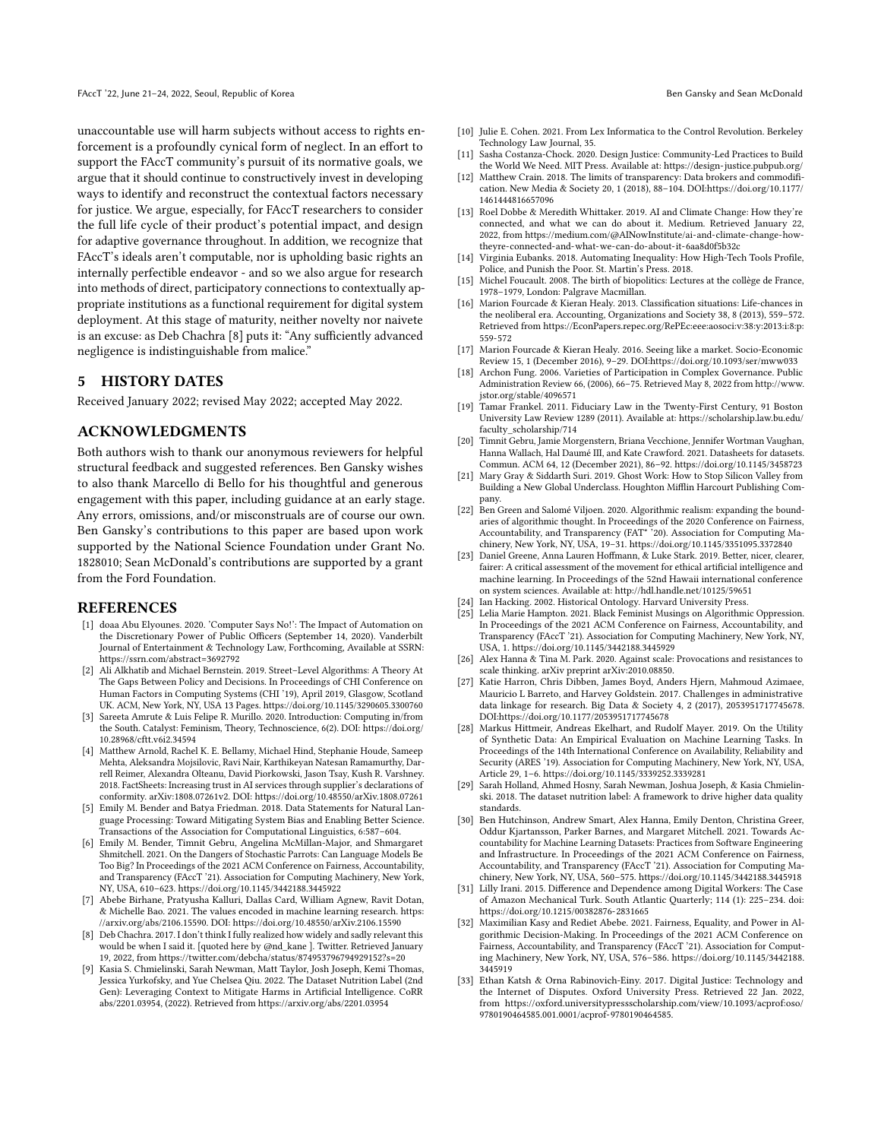unaccountable use will harm subjects without access to rights enforcement is a profoundly cynical form of neglect. In an effort to support the FAccT community's pursuit of its normative goals, we argue that it should continue to constructively invest in developing ways to identify and reconstruct the contextual factors necessary for justice. We argue, especially, for FAccT researchers to consider the full life cycle of their product's potential impact, and design for adaptive governance throughout. In addition, we recognize that FAccT's ideals aren't computable, nor is upholding basic rights an internally perfectible endeavor - and so we also argue for research into methods of direct, participatory connections to contextually appropriate institutions as a functional requirement for digital system deployment. At this stage of maturity, neither novelty nor naivete is an excuse: as Deb Chachra [\[8\]](#page-9-32) puts it: "Any sufficiently advanced negligence is indistinguishable from malice."

## 5 HISTORY DATES

Received January 2022; revised May 2022; accepted May 2022.

#### ACKNOWLEDGMENTS

Both authors wish to thank our anonymous reviewers for helpful structural feedback and suggested references. Ben Gansky wishes to also thank Marcello di Bello for his thoughtful and generous engagement with this paper, including guidance at an early stage. Any errors, omissions, and/or misconstruals are of course our own. Ben Gansky's contributions to this paper are based upon work supported by the National Science Foundation under Grant No. 1828010; Sean McDonald's contributions are supported by a grant from the Ford Foundation.

#### REFERENCES

- <span id="page-9-30"></span>[1] doaa Abu Elyounes. 2020. 'Computer Says No!': The Impact of Automation on the Discretionary Power of Public Officers (September 14, 2020). Vanderbilt Journal of Entertainment & Technology Law, Forthcoming, Available at SSRN: <https://ssrn.com/abstract=3692792>
- <span id="page-9-31"></span>[2] Ali Alkhatib and Michael Bernstein. 2019. Street–Level Algorithms: A Theory At The Gaps Between Policy and Decisions. In Proceedings of CHI Conference on Human Factors in Computing Systems (CHI '19), April 2019, Glasgow, Scotland UK. ACM, New York, NY, USA 13 Pages.<https://doi.org/10.1145/3290605.3300760>
- <span id="page-9-10"></span>[3] Sareeta Amrute & Luis Felipe R. Murillo. 2020. Introduction: Computing in/from the South. Catalyst: Feminism, Theory, Technoscience, 6(2). DOI: [https://doi.org/](https://doi.org/10.28968/cftt.v6i2.34594) [10.28968/cftt.v6i2.34594](https://doi.org/10.28968/cftt.v6i2.34594)
- <span id="page-9-2"></span>[4] Matthew Arnold, Rachel K. E. Bellamy, Michael Hind, Stephanie Houde, Sameep Mehta, Aleksandra Mojsilovic, Ravi Nair, Karthikeyan Natesan Ramamurthy, Darrell Reimer, Alexandra Olteanu, David Piorkowski, Jason Tsay, Kush R. Varshney. 2018. FactSheets: Increasing trust in AI services through supplier's declarations of conformity. [arXiv:1808.07261v2.](arXiv:1808.07261v2) DOI:<https://doi.org/10.48550/arXiv.1808.07261>
- <span id="page-9-3"></span>[5] Emily M. Bender and Batya Friedman. 2018. Data Statements for Natural Language Processing: Toward Mitigating System Bias and Enabling Better Science. Transactions of the Association for Computational Linguistics, 6:587–604.
- <span id="page-9-14"></span>[6] Emily M. Bender, Timnit Gebru, Angelina McMillan-Major, and Shmargaret Shmitchell. 2021. On the Dangers of Stochastic Parrots: Can Language Models Be Too Big? In Proceedings of the 2021 ACM Conference on Fairness, Accountability, and Transparency (FAccT '21). Association for Computing Machinery, New York, NY, USA, 610–623.<https://doi.org/10.1145/3442188.3445922>
- <span id="page-9-8"></span>[7] Abebe Birhane, Pratyusha Kalluri, Dallas Card, William Agnew, Ravit Dotan, & Michelle Bao. 2021. The values encoded in machine learning research. [https:](https://arxiv.org/abs/2106.15590) [//arxiv.org/abs/2106.15590.](https://arxiv.org/abs/2106.15590) DOI:<https://doi.org/10.48550/arXiv.2106.15590>
- <span id="page-9-32"></span>[8] Deb Chachra. 2017. I don't think I fully realized how widely and sadly relevant this would be when I said it. [quoted here by @nd\_kane ]. Twitter. Retrieved January 19, 2022, from<https://twitter.com/debcha/status/874953796794929152?s=20>
- <span id="page-9-4"></span>[9] Kasia S. Chmielinski, Sarah Newman, Matt Taylor, Josh Joseph, Kemi Thomas, Jessica Yurkofsky, and Yue Chelsea Qiu. 2022. The Dataset Nutrition Label (2nd Gen): Leveraging Context to Mitigate Harms in Artificial Intelligence. CoRR abs/2201.03954, (2022). Retrieved from<https://arxiv.org/abs/2201.03954>
- <span id="page-9-21"></span>[10] Julie E. Cohen. 2021. From Lex Informatica to the Control Revolution. Berkeley Technology Law Journal, 35.
- <span id="page-9-28"></span>[11] Sasha Costanza-Chock. 2020. Design Justice: Community-Led Practices to Build the World We Need. MIT Press. Available at:<https://design-justice.pubpub.org/>
- <span id="page-9-17"></span>[12] Matthew Crain. 2018. The limits of transparency: Data brokers and commodification. New Media & Society 20, 1 (2018), 88–104. DOI[:https://doi.org/10.1177/](https://doi.org/10.1177/1461444816657096) [1461444816657096](https://doi.org/10.1177/1461444816657096)
- <span id="page-9-29"></span>[13] Roel Dobbe & Meredith Whittaker. 2019. AI and Climate Change: How they're connected, and what we can do about it. Medium. Retrieved January 22, 2022, from [https://medium.com/@AINowInstitute/ai-and-climate-change-how](https://medium.com/@AINowInstitute/ai-and-climate-change-how-theyre-connected-and-what-we-can-do-about-it-6aa8d0f5b32c)[theyre-connected-and-what-we-can-do-about-it-6aa8d0f5b32c](https://medium.com/@AINowInstitute/ai-and-climate-change-how-theyre-connected-and-what-we-can-do-about-it-6aa8d0f5b32c)
- <span id="page-9-22"></span>[14] Virginia Eubanks. 2018. Automating Inequality: How High-Tech Tools Profile, Police, and Punish the Poor. St. Martin's Press. 2018.
- <span id="page-9-23"></span>[15] Michel Foucault. 2008. The birth of biopolitics: Lectures at the collège de France, 1978–1979, London: Palgrave Macmillan.
- <span id="page-9-18"></span>[16] Marion Fourcade & Kieran Healy. 2013. Classification situations: Life-chances in the neoliberal era. Accounting, Organizations and Society 38, 8 (2013), 559–572. Retrieved from [https://EconPapers.repec.org/RePEc:eee:aosoci:v:38:y:2013:i:8:p:](https://EconPapers.repec.org/RePEc:eee:aosoci:v:38:y:2013:i:8:p:559-572) [559-572](https://EconPapers.repec.org/RePEc:eee:aosoci:v:38:y:2013:i:8:p:559-572)
- <span id="page-9-19"></span>[17] Marion Fourcade & Kieran Healy. 2016. Seeing like a market. Socio-Economic Review 15, 1 (December 2016), 9–29. DOI[:https://doi.org/10.1093/ser/mww033](https://doi.org/10.1093/ser/mww033)
- <span id="page-9-1"></span>[18] Archon Fung. 2006. Varieties of Participation in Complex Governance. Public Administration Review 66, (2006), 66–75. Retrieved May 8, 2022 from [http://www.](http://www.jstor.org/stable/4096571) [jstor.org/stable/4096571](http://www.jstor.org/stable/4096571)
- <span id="page-9-25"></span>[19] Tamar Frankel. 2011. Fiduciary Law in the Twenty-First Century, 91 Boston University Law Review 1289 (2011). Available at: [https://scholarship.law.bu.edu/](https://scholarship.law.bu.edu/faculty_scholarship/714) [faculty\\_scholarship/714](https://scholarship.law.bu.edu/faculty_scholarship/714)
- <span id="page-9-5"></span>[20] Timnit Gebru, Jamie Morgenstern, Briana Vecchione, Jennifer Wortman Vaughan, Hanna Wallach, Hal Daumé III, and Kate Crawford. 2021. Datasheets for datasets. Commun. ACM 64, 12 (December 2021), 86–92.<https://doi.org/10.1145/3458723>
- <span id="page-9-11"></span>[21] Mary Gray & Siddarth Suri. 2019. Ghost Work: How to Stop Silicon Valley from Building a New Global Underclass. Houghton Mifflin Harcourt Publishing Company.
- <span id="page-9-13"></span>[22] Ben Green and Salomé Viljoen. 2020. Algorithmic realism: expanding the boundaries of algorithmic thought. In Proceedings of the 2020 Conference on Fairness, Accountability, and Transparency (FAT\* '20). Association for Computing Machinery, New York, NY, USA, 19–31.<https://doi.org/10.1145/3351095.3372840>
- <span id="page-9-9"></span>[23] Daniel Greene, Anna Lauren Hoffmann, & Luke Stark. 2019. Better, nicer, clearer, fairer: A critical assessment of the movement for ethical artificial intelligence and machine learning. In Proceedings of the 52nd Hawaii international conference on system sciences. Available at:<http://hdl.handle.net/10125/59651>
- <span id="page-9-24"></span>
- <span id="page-9-0"></span>[24] Ian Hacking. 2002. Historical Ontology. Harvard University Press. [25] Lelia Marie Hampton. 2021. Black Feminist Musings on Algorithmic Oppression. In Proceedings of the 2021 ACM Conference on Fairness, Accountability, and Transparency (FAccT '21). Association for Computing Machinery, New York, NY, USA, 1.<https://doi.org/10.1145/3442188.3445929>
- <span id="page-9-26"></span>[26] Alex Hanna & Tina M. Park. 2020. Against scale: Provocations and resistances to scale thinking. arXiv preprint [arXiv:2010.08850.](arXiv:2010.08850)
- <span id="page-9-16"></span>[27] Katie Harron, Chris Dibben, James Boyd, Anders Hjern, Mahmoud Azimaee, Mauricio L Barreto, and Harvey Goldstein. 2017. Challenges in administrative data linkage for research. Big Data & Society 4, 2 (2017), 2053951717745678. DOI[:https://doi.org/10.1177/2053951717745678](https://doi.org/10.1177/2053951717745678)
- <span id="page-9-20"></span>[28] Markus Hittmeir, Andreas Ekelhart, and Rudolf Mayer. 2019. On the Utility of Synthetic Data: An Empirical Evaluation on Machine Learning Tasks. In Proceedings of the 14th International Conference on Availability, Reliability and Security (ARES '19). Association for Computing Machinery, New York, NY, USA, Article 29, 1–6.<https://doi.org/10.1145/3339252.3339281>
- <span id="page-9-6"></span>[29] Sarah Holland, Ahmed Hosny, Sarah Newman, Joshua Joseph, & Kasia Chmielinski. 2018. The dataset nutrition label: A framework to drive higher data quality standards.
- <span id="page-9-7"></span>[30] Ben Hutchinson, Andrew Smart, Alex Hanna, Emily Denton, Christina Greer, Oddur Kjartansson, Parker Barnes, and Margaret Mitchell. 2021. Towards Accountability for Machine Learning Datasets: Practices from Software Engineering and Infrastructure. In Proceedings of the 2021 ACM Conference on Fairness, Accountability, and Transparency (FAccT '21). Association for Computing Machinery, New York, NY, USA, 560–575.<https://doi.org/10.1145/3442188.3445918>
- <span id="page-9-12"></span>[31] Lilly Irani. 2015. Difference and Dependence among Digital Workers: The Case of Amazon Mechanical Turk. South Atlantic Quarterly; 114 (1): 225–234. doi: <https://doi.org/10.1215/00382876-2831665>
- <span id="page-9-15"></span>[32] Maximilian Kasy and Rediet Abebe. 2021. Fairness, Equality, and Power in Algorithmic Decision-Making. In Proceedings of the 2021 ACM Conference on Fairness, Accountability, and Transparency (FAccT '21). Association for Computing Machinery, New York, NY, USA, 576–586. [https://doi.org/10.1145/3442188.](https://doi.org/10.1145/3442188.3445919) [3445919](https://doi.org/10.1145/3442188.3445919)
- <span id="page-9-27"></span>[33] Ethan Katsh & Orna Rabinovich-Einy. 2017. Digital Justice: Technology and the Internet of Disputes. Oxford University Press. Retrieved 22 Jan. 2022, from [https://oxford.universitypressscholarship.com/view/10.1093/acprof:oso/](https://oxford.universitypressscholarship.com/view/10.1093/acprof:oso/9780190464585.001.0001/acprof-9780190464585) [9780190464585.001.0001/acprof-9780190464585.](https://oxford.universitypressscholarship.com/view/10.1093/acprof:oso/9780190464585.001.0001/acprof-9780190464585)